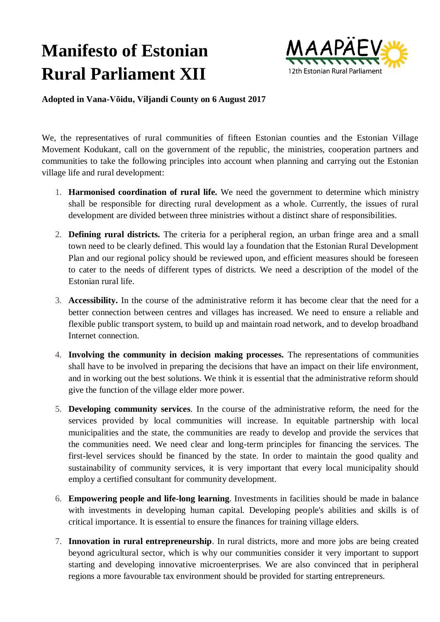## **Manifesto of Estonian Rural Parliament XII**



**Adopted in Vana-Võidu, Viljandi County on 6 August 2017**

We, the representatives of rural communities of fifteen Estonian counties and the Estonian Village Movement Kodukant, call on the government of the republic, the ministries, cooperation partners and communities to take the following principles into account when planning and carrying out the Estonian village life and rural development:

- 1. **Harmonised coordination of rural life.** We need the government to determine which ministry shall be responsible for directing rural development as a whole. Currently, the issues of rural development are divided between three ministries without a distinct share of responsibilities.
- 2. **Defining rural districts.** The criteria for a peripheral region, an urban fringe area and a small town need to be clearly defined. This would lay a foundation that the Estonian Rural Development Plan and our regional policy should be reviewed upon, and efficient measures should be foreseen to cater to the needs of different types of districts. We need a description of the model of the Estonian rural life.
- 3. **Accessibility.** In the course of the administrative reform it has become clear that the need for a better connection between centres and villages has increased. We need to ensure a reliable and flexible public transport system, to build up and maintain road network, and to develop broadband Internet connection.
- 4. **Involving the community in decision making processes.** The representations of communities shall have to be involved in preparing the decisions that have an impact on their life environment, and in working out the best solutions. We think it is essential that the administrative reform should give the function of the village elder more power.
- 5. **Developing community services**. In the course of the administrative reform, the need for the services provided by local communities will increase. In equitable partnership with local municipalities and the state, the communities are ready to develop and provide the services that the communities need. We need clear and long-term principles for financing the services. The first-level services should be financed by the state. In order to maintain the good quality and sustainability of community services, it is very important that every local municipality should employ a certified consultant for community development.
- 6. **Empowering people and life-long learning**. Investments in facilities should be made in balance with investments in developing human capital. Developing people's abilities and skills is of critical importance. It is essential to ensure the finances for training village elders.
- 7. **Innovation in rural entrepreneurship**. In rural districts, more and more jobs are being created beyond agricultural sector, which is why our communities consider it very important to support starting and developing innovative microenterprises. We are also convinced that in peripheral regions a more favourable tax environment should be provided for starting entrepreneurs.